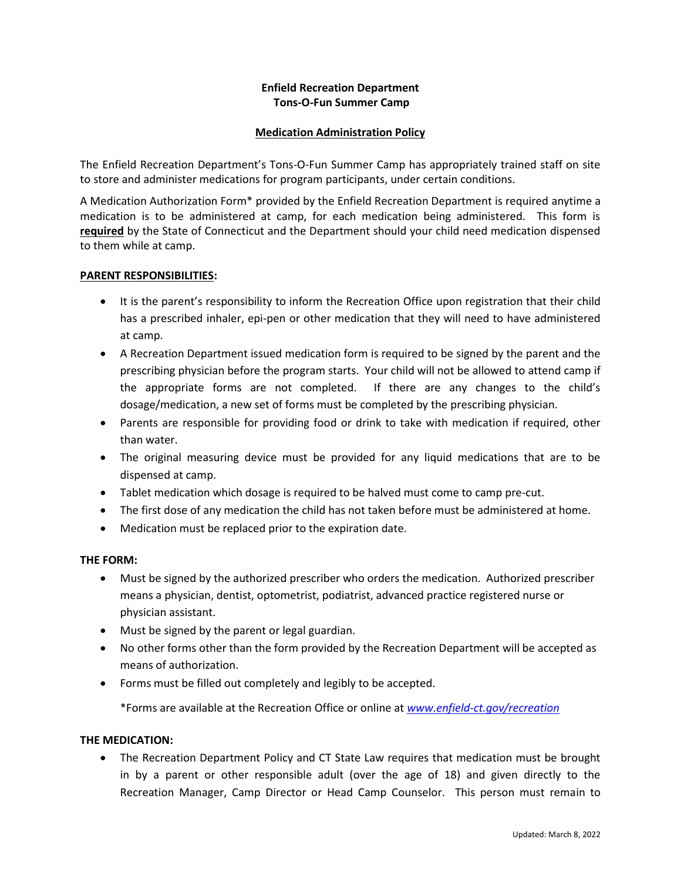# **Enfield Recreation Department Tons-O-Fun Summer Camp**

#### **Medication Administration Policy**

The Enfield Recreation Department's Tons-O-Fun Summer Camp has appropriately trained staff on site to store and administer medications for program participants, under certain conditions.

A Medication Authorization Form\* provided by the Enfield Recreation Department is required anytime a medication is to be administered at camp, for each medication being administered. This form is **required** by the State of Connecticut and the Department should your child need medication dispensed to them while at camp.

#### **PARENT RESPONSIBILITIES:**

- It is the parent's responsibility to inform the Recreation Office upon registration that their child has a prescribed inhaler, epi-pen or other medication that they will need to have administered at camp.
- A Recreation Department issued medication form is required to be signed by the parent and the prescribing physician before the program starts. Your child will not be allowed to attend camp if the appropriate forms are not completed. If there are any changes to the child's dosage/medication, a new set of forms must be completed by the prescribing physician.
- Parents are responsible for providing food or drink to take with medication if required, other than water.
- The original measuring device must be provided for any liquid medications that are to be dispensed at camp.
- Tablet medication which dosage is required to be halved must come to camp pre-cut.
- The first dose of any medication the child has not taken before must be administered at home.
- Medication must be replaced prior to the expiration date.

## **THE FORM:**

- Must be signed by the authorized prescriber who orders the medication. Authorized prescriber means a physician, dentist, optometrist, podiatrist, advanced practice registered nurse or physician assistant.
- Must be signed by the parent or legal guardian.
- No other forms other than the form provided by the Recreation Department will be accepted as means of authorization.
- Forms must be filled out completely and legibly to be accepted.

\*Forms are available at the Recreation Office or online at *[www.enfield-ct.gov/recreation](http://www.enfield-ct.gov/recreation)*

## **THE MEDICATION:**

• The Recreation Department Policy and CT State Law requires that medication must be brought in by a parent or other responsible adult (over the age of 18) and given directly to the Recreation Manager, Camp Director or Head Camp Counselor. This person must remain to